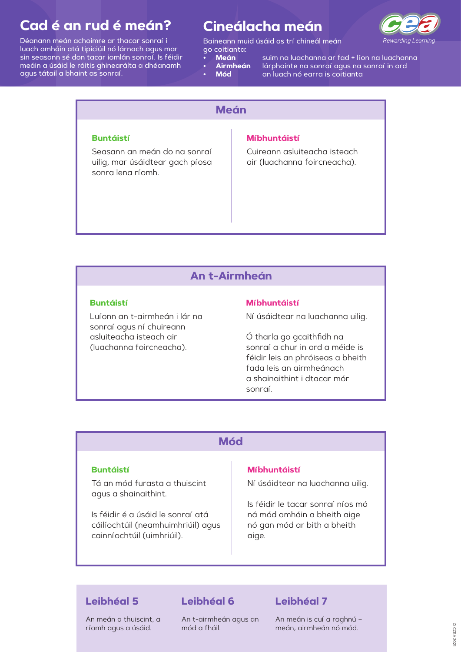# **Cineálacha meán**



Baineann muid úsáid as trí chineál meán go coitianta:

- **• Meán**
	- **n** suim na luachanna ar fad ÷ líon na luachanna **Airmheán**lárphointe na sonraí agus na sonraí in ord
- **••Mód**
- an luach nó earra is coitianta

# **Cad é an rud é meán?**

Déanann meán achoimre ar thacar sonraí i luach amháin atá tipiciúil nó lárnach agus mar sin seasann sé don tacar iomlán sonraí. Is féidir meáin a úsáid le ráitis ghinearálta a dhéanamh agus tátail a bhaint as sonraí.

# **MeánBuntáistí**Seasann an meán do na sonraí uilig, mar úsáidtear gach píosa sonra lena ríomh. **Míbhuntáistí**Cuireann asluiteacha isteach air (luachanna foircneacha).

## **An t-Airmheán**

### **Buntáistí**

Luíonn an t-airmheán i lár na sonraí agus ní chuireann asluiteacha isteach air (luachanna foircneacha).

### **Míbhuntáistí**

Ní úsáidtear na luachanna uilig.

Ó tharla go gcaithfidh na sonraí a chur in ord a méide is féidir leis an phróiseas a bheith fada leis an airmheánach a shainaithint i dtacar mór sonraí.

## **Mód**

### **Buntáistí**

Tá an mód furasta a thuiscint

#### agus a shainaithint.

Is féidir é a úsáid le sonraí atá cáilíochtúil (neamhuimhriúil) agus cainníochtúil (uimhriúil).

### **Míbhuntáistí**

Ní úsáidtear na luachanna uilig.

Is féidir le tacar sonraí níos mó ná mód amháin a bheith aige nó gan mód ar bith a bheith aige.

### **Leibhéal 5**

#### An meán a thuiscint, a ríomh agus a úsáid.

### **Leibhéal 6**

An t-airmheán agus an mód a fháil.

### **Leibhéal 7**

An meán is cuí a roghnú – meán, airmheán nó mód.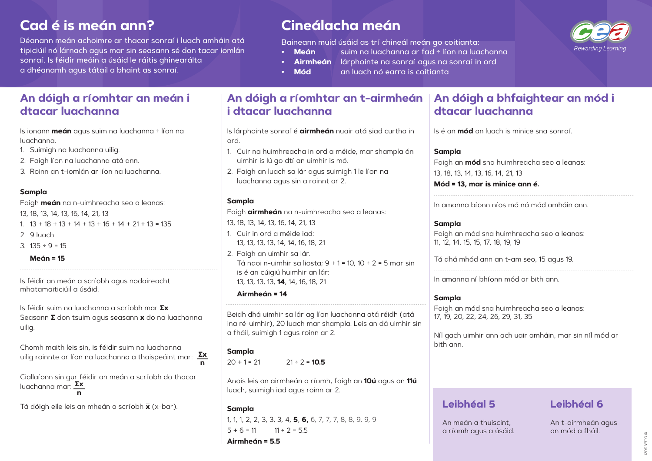# **Cad é is meán ann?**

Déanann meán achoimre ar thacar sonraí i luach amháin atá tipiciúil nó lárnach agus mar sin seasann sé don tacar iomlán sonraí. Is féidir meáin a úsáid le ráitis ghinearálta a dhéanamh agus tátail a bhaint as sonraí.

- **Meán** suim na luachanna ar fad ÷ líon na luachanna
- - **• Airmheán** lárphointe na sonraí agus na sonraí in ord
- 

# **Cineálacha meán**

Baineann muid úsáid as trí chineál meán go coitianta:

- 1.  $13 + 18 + 13 + 14 + 13 + 16 + 14 + 21 + 13 = 135$
- 2. 9 luach
- 3.  $135 \div 9 = 15$ 
	- **Meán = 15**

**• Mód** an luach nó earra is coitianta

## **An dóigh a ríomhtar an meán i dtacar luachanna**

Is ionann **meán** agus suim na luachanna ÷ líon na luachanna.

- 1. Suimigh na luachanna uilig.
- 2. Faigh líon na luachanna atá ann.
- 3. Roinn an t-iomlán ar líon na luachanna.

### **Sampla**

Faigh **meán** na n-uimhreacha seo a leanas:

13, 18, 13, 14, 13, 16, 14, 21, 13

Is féidir an meán a scríobh agus nodaireacht mhatamaiticiúil a úsáid.

Is féidir suim na luachanna a scríobh mar **∑x** Seasann **Σ** don tsuim agus seasann **x** do na luachanna uilig.

> 1, 1, 1, 2, 2, 3, 3, 3, 4, **5**, **6,** 6, 7, 7, 7, 8, 8, 9, 9, 9  $5 + 6 = 11$   $11 \div 2 = 5.5$

Tá dóigh eile leis an mheán a scríobh **x** (x-bar).

# **An dóigh a ríomhtar an t-airmheán i dtacar luachanna**

Faigh an mód sna 11, 12, 14, 15, 15, 17, 18, 19, 19

Is lárphointe sonraí é **airmheán** nuair atá siad curtha in

ord.

1. Cuir na huimhreacha in ord a méide, mar shampla ón

uimhir is lú go dtí an uimhir is mó.

2. Faigh an luach sa lár agus suimigh 1 le líon na

luachanna agus sin a roinnt ar 2.

**Sampla**

 $20 + 1 = 21$   $21 \div 2 = 10.5$ 

Faigh **airmheán** na n-uimhreacha seo a leanas:

13, 18, 13, 14, 13, 16, 14, 21, 13 1. Cuir in ord a méide iad:

13, 13, 13, 13, 14, 14, 16, 18, 21

2. Faigh an uimhir sa lár.

Tá naoi n-uimhir sa liosta; 9 + 1 = 10, 10 ÷ 2 = 5 mar sin

is é an cúigiú huimhir an lár: 13, 13, 13, 13, **14**, 14, 16, 18, 21

**Airmheán = 14**

Beidh dhá uimhir sa lár ag líon luachanna atá réidh (atá ina ré-uimhir), 20 luach mar shampla. Leis an dá uimhir sin

Chomh maith leis sin, is féidir suim na luachanna uilig roinnte ar líon na luachanna a thaispeáint mar: **∑x** a fháil, suimigh 1 agus roinn ar 2.

### **Sampla**

Ciallaíonn sin gur féidir an meán a scríobh do thacar luachanna mar: **∑x n**

Anois leis an airmheán a ríomh, faigh an **10ú** agus an **11ú** luach, suimigh iad agus roinn ar 2.

### **Sampla**

**Airmheán = 5.5**

# **An dóigh a bhfaightear an mód i dtacar luachanna**

Is é an **mód** an luach is minice sna sonraí.

### **Sampla**

Faigh an **mód** sna 13, 18, 13, 14, 13, 16, **Mód = 13, mar is** 

#### \_\_\_\_\_\_\_\_\_\_\_\_\_\_\_\_\_\_\_\_\_\_\_\_\_\_\_\_\_\_ In amanna bíonn

### **Sampla**

Tá dhá mhód ann an t-am seo, 15 agus 19.

In amanna ní bhíonn mód ar bith ann.

### **Sampla**

Faigh an mód sna huimhreacha seo a leanas: 17, 19, 20, 22, 24, 26, 29, 31, 35

Níl gach uimhir ann ach uair amháin, mar sin níl mód ar

bith ann.

## **Leibhéal 5**

An meán a thuiscint, a ríomh agus a úsáid.



| a huimhreacha seo a leanas:<br>14, 21, 13<br>minice ann é. |
|------------------------------------------------------------|
| níos mó ná mód amháin ann.                                 |
| i huimhreacha seo a leanas:<br>18 10 10                    |

### **Leibhéal 6**

An t-airmheán agus an mód a fháil.

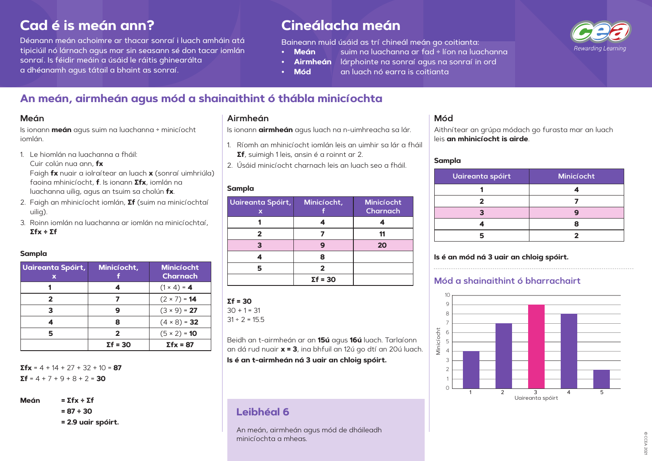# **Cad é is meán ann?**

Déanann meán achoimre ar thacar sonraí i luach amháin atá tipiciúil nó lárnach agus mar sin seasann sé don tacar iomlán sonraí. Is féidir meáin a úsáid le ráitis ghinearálta a dhéanamh agus tátail a bhaint as sonraí.

- **Meán** suim na luachanna ar fad ÷ líon na luachanna
- - **• Airmheán** lárphointe na sonraí agus na sonraí in ord
- 
- **• Mód** an luach nó earra is coitianta

# **Cineálacha meán**

Baineann muid úsáid as trí chineál meán go coitianta:

# **An meán, airmheán agus mód a shainaithint ó thábla minicíochta**

**Σfx** = 4 + 14 + 27 + 32 + 10 = **87**  $\Sigma f = 4 + 7 + 9 + 8 + 2 = 30$ 

Is ionann **meán** agus suim na luachanna ÷ minicíocht iomlán.

1. Le hiomlán na luachanna a fháil: Cuir colún nua ann, **fx** Faigh **fx** nuair a iolraítear an luach **x** (sonraí uimhriúla) faoina mhinicíocht, **f**. Is ionann **Σfx**, iomlán na

luachanna uilig, agus an tsuim sa cholún **fx**. 2. Faigh an mhinicíocht iomlán, **Σf** (suim na minicíochtaí

- uilig).
- 3. Roinn iomlán na luachanna ar iomlán na minicíochtaí, **Σfx ÷ Σf**

### **Sampla**

| <b>Uaireanta Spóirt,</b><br>Х | Minicíocht,     | <b>Minicíocht</b><br><b>Charnach</b> |
|-------------------------------|-----------------|--------------------------------------|
|                               | 4               | $(1 \times 4) = 4$                   |
| $\mathbf 2$                   | 7               | $(2 \times 7) = 14$                  |
| 3                             | 9               | $(3 \times 9) = 27$                  |
|                               | 8               | $(4 \times 8) = 32$                  |
| 5                             | 2               | $(5 \times 2) = 10$                  |
|                               | $\Sigma f = 30$ | $\Sigma$ fx = 87                     |

**Meán = Σfx ÷ Σf** 

**= 87 ÷ 30**

**= 2.9 uair spóirt.**

Is ionann **airmheán** agus luach na n-uimhreacha sa lár.

- 1. Ríomh an mhinicíocht iomlán leis an uimhir sa lár a fháil **Σf**, suimigh 1 leis, ansin é a roinnt ar 2.
- 2. Úsáid minicíocht charnach leis an luach seo a fháil.

### **Sampla**

| <b>Uaireanta Spóirt,</b><br>Х | Minicíocht,     | Minicíocht<br>Charnach |
|-------------------------------|-----------------|------------------------|
|                               |                 |                        |
|                               |                 |                        |
|                               |                 | 20                     |
|                               | Я               |                        |
|                               |                 |                        |
|                               | $\Sigma f = 30$ |                        |

### **Σf = 30**

 $30 + 1 = 31$  $31 \div 2 = 15.5$ 

Beidh an t-airmheán ar an **15ú** agus **16ú** luach. Tarlaíonn an dá rud nuair **x = 3**, ina bhfuil an 12ú go dtí an 20ú luach.

### **Is é an t-airmheán ná 3 uair an chloig spóirt.**

Aithnítear an grúpa módach go furasta mar an luach leis **an mhinicíocht is airde**.

### **Sampla**

| <b>Uaireanta spóirt</b> | Minicíocht |
|-------------------------|------------|
|                         |            |
|                         |            |
|                         |            |
|                         |            |
|                         |            |

### **Is é an mód ná 3 uair an chloig spóirt.**

### **Mód a shainaithint ó bharrachairt**

# **Leibhéal 6**

An meán, airmheán agus mód de dháileadh minicíochta a mheas.

### **Meán Airmheán Mód**